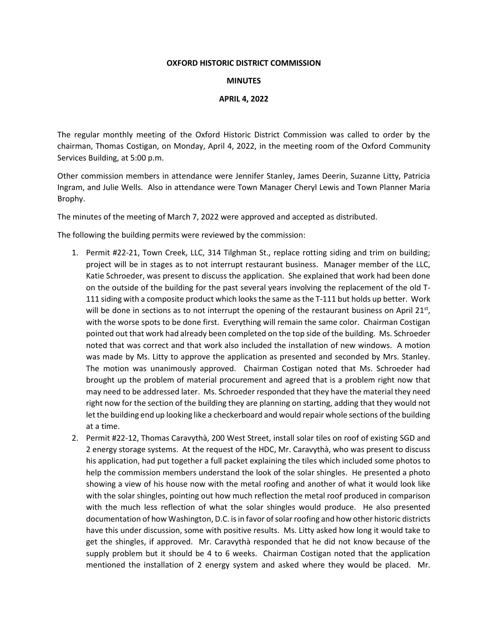#### **OXFORD HISTORIC DISTRICT COMMISSION**

### **MINUTES**

## **APRIL 4, 2022**

The regular monthly meeting of the Oxford Historic District Commission was called to order by the chairman, Thomas Costigan, on Monday, April 4, 2022, in the meeting room of the Oxford Community Services Building, at 5:00 p.m.

Other commission members in attendance were Jennifer Stanley, James Deerin, Suzanne Litty, Patricia Ingram, and Julie Wells. Also in attendance were Town Manager Cheryl Lewis and Town Planner Maria Brophy.

The minutes of the meeting of March 7, 2022 were approved and accepted as distributed.

The following the building permits were reviewed by the commission:

- 1. Permit #22-21, Town Creek, LLC, 314 Tilghman St., replace rotting siding and trim on building; project will be in stages as to not interrupt restaurant business. Manager member of the LLC, Katie Schroeder, was present to discuss the application. She explained that work had been done on the outside of the building for the past several years involving the replacement of the old T-111 siding with a composite product which looks the same as the T-111 but holds up better. Work will be done in sections as to not interrupt the opening of the restaurant business on April 21st, with the worse spots to be done first. Everything will remain the same color. Chairman Costigan pointed out that work had already been completed on the top side of the building. Ms. Schroeder noted that was correct and that work also included the installation of new windows. A motion was made by Ms. Litty to approve the application as presented and seconded by Mrs. Stanley. The motion was unanimously approved. Chairman Costigan noted that Ms. Schroeder had brought up the problem of material procurement and agreed that is a problem right now that may need to be addressed later. Ms. Schroeder responded that they have the material they need right now for the section of the building they are planning on starting, adding that they would not let the building end up looking like a checkerboard and would repair whole sections of the building at a time.
- 2. Permit #22-12, Thomas Caravythà, 200 West Street, install solar tiles on roof of existing SGD and 2 energy storage systems. At the request of the HDC, Mr. Caravythà, who was present to discuss his application, had put together a full packet explaining the tiles which included some photos to help the commission members understand the look of the solar shingles. He presented a photo showing a view of his house now with the metal roofing and another of what it would look like with the solar shingles, pointing out how much reflection the metal roof produced in comparison with the much less reflection of what the solar shingles would produce. He also presented documentation of how Washington, D.C. is in favor of solar roofing and how other historic districts have this under discussion, some with positive results. Ms. Litty asked how long it would take to get the shingles, if approved. Mr. Caravythà responded that he did not know because of the supply problem but it should be 4 to 6 weeks. Chairman Costigan noted that the application mentioned the installation of 2 energy system and asked where they would be placed. Mr.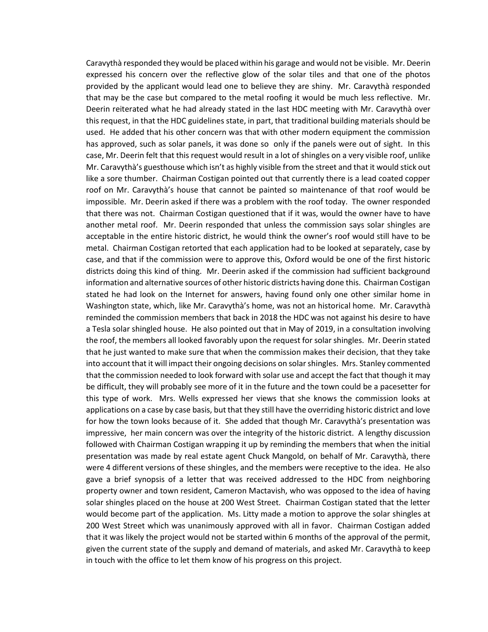Caravythà responded they would be placed within his garage and would not be visible. Mr. Deerin expressed his concern over the reflective glow of the solar tiles and that one of the photos provided by the applicant would lead one to believe they are shiny. Mr. Caravythà responded that may be the case but compared to the metal roofing it would be much less reflective. Mr. Deerin reiterated what he had already stated in the last HDC meeting with Mr. Caravythà over this request, in that the HDC guidelines state, in part, that traditional building materials should be used. He added that his other concern was that with other modern equipment the commission has approved, such as solar panels, it was done so only if the panels were out of sight. In this case, Mr. Deerin felt that this request would result in a lot of shingles on a very visible roof, unlike Mr. Caravythà's guesthouse which isn't as highly visible from the street and that it would stick out like a sore thumber. Chairman Costigan pointed out that currently there is a lead coated copper roof on Mr. Caravythà's house that cannot be painted so maintenance of that roof would be impossible. Mr. Deerin asked if there was a problem with the roof today. The owner responded that there was not. Chairman Costigan questioned that if it was, would the owner have to have another metal roof. Mr. Deerin responded that unless the commission says solar shingles are acceptable in the entire historic district, he would think the owner's roof would still have to be metal. Chairman Costigan retorted that each application had to be looked at separately, case by case, and that if the commission were to approve this, Oxford would be one of the first historic districts doing this kind of thing. Mr. Deerin asked if the commission had sufficient background information and alternative sources of other historic districts having done this. Chairman Costigan stated he had look on the Internet for answers, having found only one other similar home in Washington state, which, like Mr. Caravythà's home, was not an historical home. Mr. Caravythà reminded the commission members that back in 2018 the HDC was not against his desire to have a Tesla solar shingled house. He also pointed out that in May of 2019, in a consultation involving the roof, the members all looked favorably upon the request for solar shingles. Mr. Deerin stated that he just wanted to make sure that when the commission makes their decision, that they take into account that it will impact their ongoing decisions on solar shingles. Mrs. Stanley commented that the commission needed to look forward with solar use and accept the fact that though it may be difficult, they will probably see more of it in the future and the town could be a pacesetter for this type of work. Mrs. Wells expressed her views that she knows the commission looks at applications on a case by case basis, but that they still have the overriding historic district and love for how the town looks because of it. She added that though Mr. Caravythà's presentation was impressive, her main concern was over the integrity of the historic district. A lengthy discussion followed with Chairman Costigan wrapping it up by reminding the members that when the initial presentation was made by real estate agent Chuck Mangold, on behalf of Mr. Caravythà, there were 4 different versions of these shingles, and the members were receptive to the idea. He also gave a brief synopsis of a letter that was received addressed to the HDC from neighboring property owner and town resident, Cameron Mactavish, who was opposed to the idea of having solar shingles placed on the house at 200 West Street. Chairman Costigan stated that the letter would become part of the application. Ms. Litty made a motion to approve the solar shingles at 200 West Street which was unanimously approved with all in favor. Chairman Costigan added that it was likely the project would not be started within 6 months of the approval of the permit, given the current state of the supply and demand of materials, and asked Mr. Caravythà to keep in touch with the office to let them know of his progress on this project.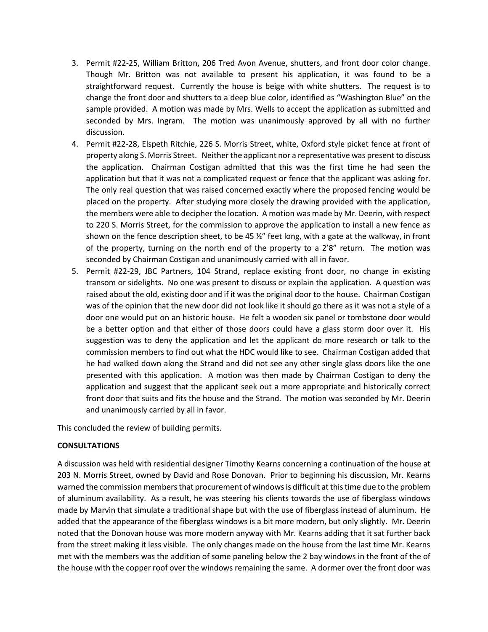- 3. Permit #22-25, William Britton, 206 Tred Avon Avenue, shutters, and front door color change. Though Mr. Britton was not available to present his application, it was found to be a straightforward request. Currently the house is beige with white shutters. The request is to change the front door and shutters to a deep blue color, identified as "Washington Blue" on the sample provided. A motion was made by Mrs. Wells to accept the application as submitted and seconded by Mrs. Ingram. The motion was unanimously approved by all with no further discussion.
- 4. Permit #22-28, Elspeth Ritchie, 226 S. Morris Street, white, Oxford style picket fence at front of property along S. Morris Street. Neither the applicant nor a representative was present to discuss the application. Chairman Costigan admitted that this was the first time he had seen the application but that it was not a complicated request or fence that the applicant was asking for. The only real question that was raised concerned exactly where the proposed fencing would be placed on the property. After studying more closely the drawing provided with the application, the members were able to decipher the location. A motion was made by Mr. Deerin, with respect to 220 S. Morris Street, for the commission to approve the application to install a new fence as shown on the fence description sheet, to be 45  $\frac{1}{2}$ " feet long, with a gate at the walkway, in front of the property, turning on the north end of the property to a 2'8" return. The motion was seconded by Chairman Costigan and unanimously carried with all in favor.
- 5. Permit #22-29, JBC Partners, 104 Strand, replace existing front door, no change in existing transom or sidelights. No one was present to discuss or explain the application. A question was raised about the old, existing door and if it was the original door to the house. Chairman Costigan was of the opinion that the new door did not look like it should go there as it was not a style of a door one would put on an historic house. He felt a wooden six panel or tombstone door would be a better option and that either of those doors could have a glass storm door over it. His suggestion was to deny the application and let the applicant do more research or talk to the commission members to find out what the HDC would like to see. Chairman Costigan added that he had walked down along the Strand and did not see any other single glass doors like the one presented with this application. A motion was then made by Chairman Costigan to deny the application and suggest that the applicant seek out a more appropriate and historically correct front door that suits and fits the house and the Strand. The motion was seconded by Mr. Deerin and unanimously carried by all in favor.

This concluded the review of building permits.

### **CONSULTATIONS**

A discussion was held with residential designer Timothy Kearns concerning a continuation of the house at 203 N. Morris Street, owned by David and Rose Donovan. Prior to beginning his discussion, Mr. Kearns warned the commission members that procurement of windows is difficult at this time due to the problem of aluminum availability. As a result, he was steering his clients towards the use of fiberglass windows made by Marvin that simulate a traditional shape but with the use of fiberglass instead of aluminum. He added that the appearance of the fiberglass windows is a bit more modern, but only slightly. Mr. Deerin noted that the Donovan house was more modern anyway with Mr. Kearns adding that it sat further back from the street making it less visible. The only changes made on the house from the last time Mr. Kearns met with the members was the addition of some paneling below the 2 bay windows in the front of the of the house with the copper roof over the windows remaining the same. A dormer over the front door was